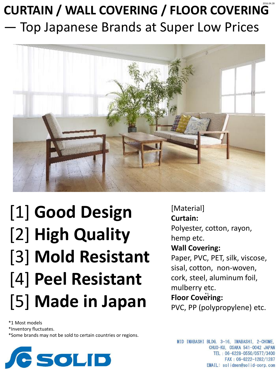### **CURTAIN / WALL COVERING / FLOOR COVERING** — Top Japanese Brands at Super Low Prices 2016.04.28



# [1] **Good Design** [2] **High Quality** [3] **Mold Resistant**  [4] **Peel Resistant**  [5] **Made in Japan**

\*1 Most models

\*Inventory fluctuates.

\*Some brands may not be sold to certain countries or regions.



[Material] **Curtain:** Polyester, cotton, rayon, hemp etc. **Wall Covering:** Paper, PVC, PET, silk, viscose, sisal, cotton, non-woven,

cork, steel, aluminum foil, mulberry etc.

#### Floor Covering:

PVC, PP (polypropylene) etc.

MID IMABASHI BLDG. 3-16, IMABASHI, 2-CHOME, CHUO-KU, OSAKA 541-0042 JAPAN TEL: 06-6228-0550/0577/3400 FAX: 06-6222-1282/1287 EMAIL: solidmen@solid-corp.com